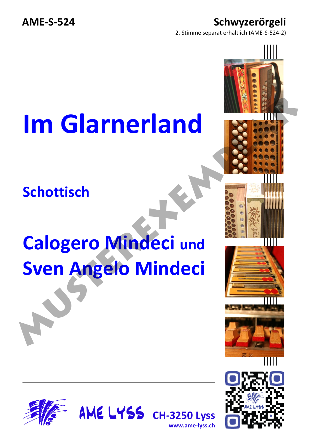**AME-S-524 Schwyzerörgeli** 

2. Stimme separat erhältlich (AME-S-524-2)

## **Im Glarnerland**

**Schottisch**

## **Calogero Mindeci und Sven Angelo Mindeci**









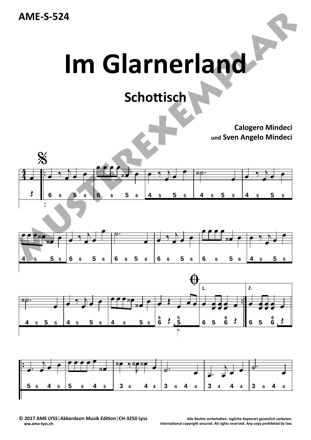**AME‐S‐524**